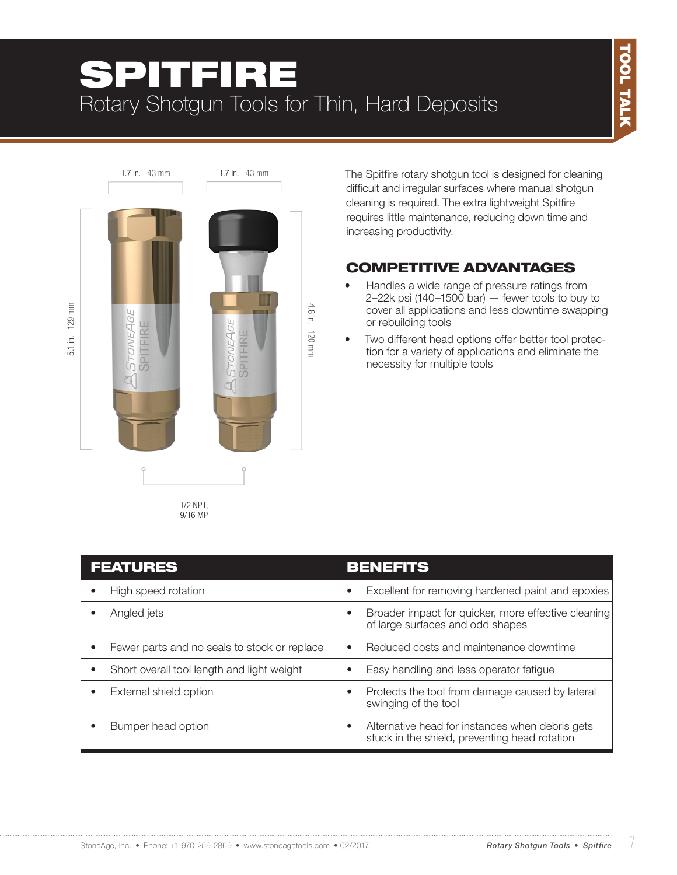

The Spitfire rotary shotgun tool is designed for cleaning difficult and irregular surfaces where manual shotgun cleaning is required. The extra lightweight Spitfire requires little maintenance, reducing down time and increasing productivity.

## COMPETITIVE ADVANTAGES

- Handles a wide range of pressure ratings from  $2-22k$  psi (140-1500 bar)  $-$  fewer tools to buy to cover all applications and less downtime swapping or rebuilding tools
- Two different head options offer better tool protection for a variety of applications and eliminate the necessity for multiple tools

| <b>FEATURES</b>                                         | <b>BENEFITS</b>                                                                                               |
|---------------------------------------------------------|---------------------------------------------------------------------------------------------------------------|
| High speed rotation                                     | Excellent for removing hardened paint and epoxies<br>$\bullet$                                                |
| Angled jets                                             | Broader impact for quicker, more effective cleaning<br>٠<br>of large surfaces and odd shapes                  |
| Fewer parts and no seals to stock or replace            | Reduced costs and maintenance downtime<br>$\bullet$                                                           |
| Short overall tool length and light weight<br>$\bullet$ | Easy handling and less operator fatigue                                                                       |
| External shield option                                  | Protects the tool from damage caused by lateral<br>$\bullet$<br>swinging of the tool                          |
| Bumper head option                                      | Alternative head for instances when debris gets<br>$\bullet$<br>stuck in the shield, preventing head rotation |

StoneAge, Inc. • Phone: +1-970-259-2869 • www.stoneagetools.com • 02/2017 *1*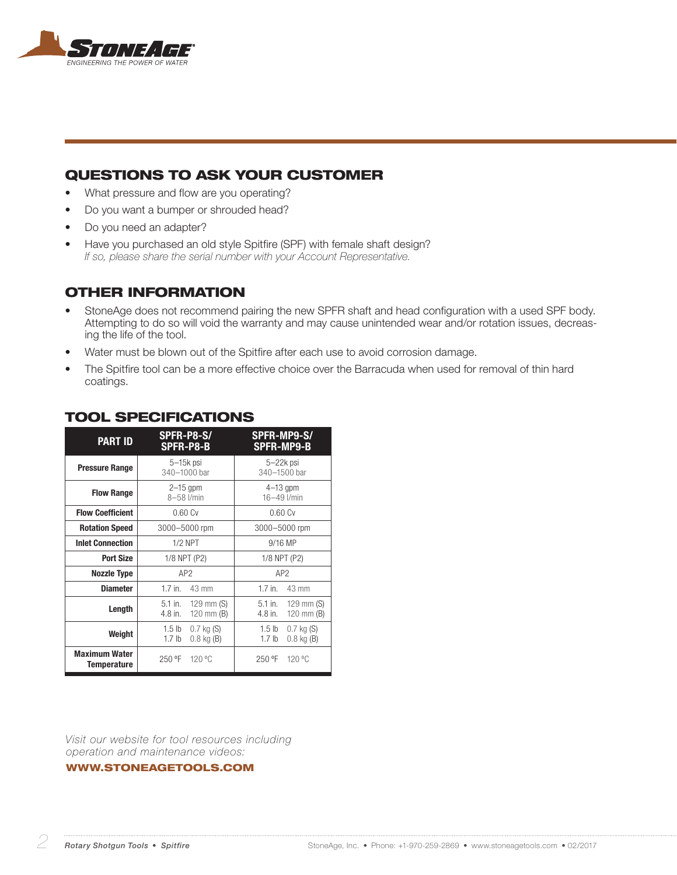

## QUESTIONS TO ASK YOUR CUSTOMER

- What pressure and flow are you operating?
- Do you want a bumper or shrouded head?
- Do you need an adapter?
- Have you purchased an old style Spitfire (SPF) with female shaft design? *If so, please share the serial number with your Account Representative.*

#### OTHER INFORMATION

- StoneAge does not recommend pairing the new SPFR shaft and head configuration with a used SPF body. Attempting to do so will void the warranty and may cause unintended wear and/or rotation issues, decreasing the life of the tool.
- Water must be blown out of the Spitfire after each use to avoid corrosion damage.
- The Spitfire tool can be a more effective choice over the Barracuda when used for removal of thin hard coatings.

| <b>PART ID</b>                      | SPFR-P8-S/<br>SPFR-P8-B                                         | SPFR-MP9-S/<br><b>SPFR-MP9-B</b>                                |
|-------------------------------------|-----------------------------------------------------------------|-----------------------------------------------------------------|
| <b>Pressure Range</b>               | $5-15k$ psi<br>340-1000 bar                                     | $5 - 22k$ psi<br>340-1500 bar                                   |
| <b>Flow Range</b>                   | $2-15$ gpm<br>8-58 l/min                                        | $4-13$ gpm<br>16-49 l/min                                       |
| <b>Flow Coefficient</b>             | 0.60Cv                                                          | 0.60Cv                                                          |
| <b>Rotation Speed</b>               | 3000-5000 rpm                                                   | 3000-5000 rpm                                                   |
| <b>Inlet Connection</b>             | $1/2$ NPT                                                       | 9/16 MP                                                         |
| <b>Port Size</b>                    | 1/8 NPT (P2)                                                    | 1/8 NPT (P2)                                                    |
| <b>Nozzle Type</b>                  | AP <sub>2</sub>                                                 | AP2                                                             |
| <b>Diameter</b>                     | $1.7$ in.<br>43 mm                                              | $1.7$ in.<br>43 mm                                              |
| Length                              | 5.1 in.<br>129 mm $(S)$<br>$120$ mm $(B)$<br>4.8 in.            | $5.1$ in.<br>$129$ mm $(S)$<br>4.8 in.<br>120 mm $(B)$          |
| Weight                              | 1.5 lb<br>$0.7$ kg $(S)$<br>1.7 <sub>lb</sub><br>$0.8$ kg $(B)$ | 1.5 lb<br>$0.7$ kg $(S)$<br>1.7 <sub>lb</sub><br>$0.8$ kg $(B)$ |
| <b>Maximum Water</b><br>Temperature | 250 °F<br>120 °C                                                | 250 °F<br>120 °C                                                |

#### TOOL SPECIFICATIONS

*Visit our website for tool resources including operation and maintenance videos:* 

#### WWW.STONEAGETOOLS.COM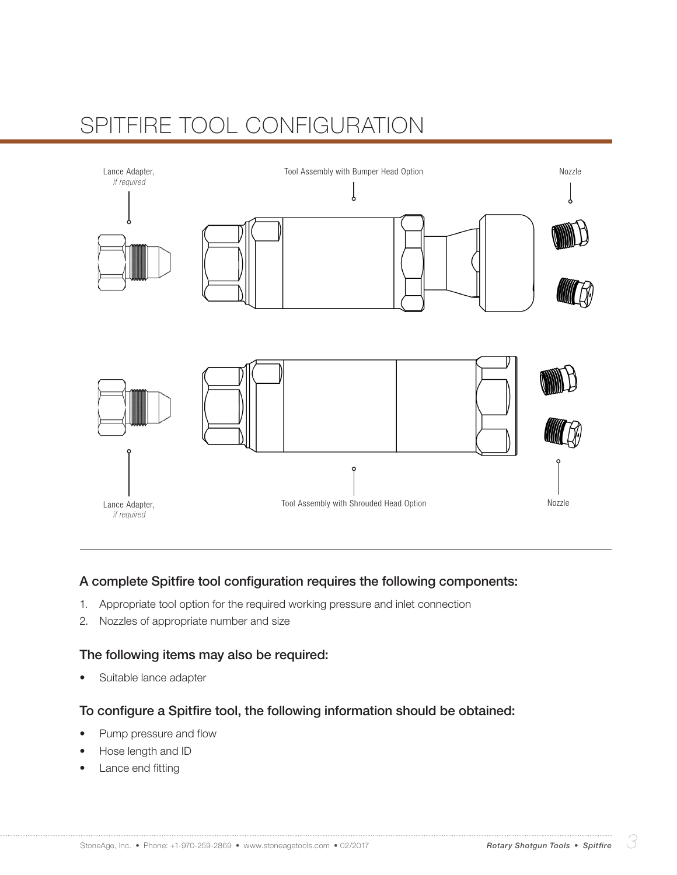# SPITFIRE TOOL CONFIGURATION



### A complete Spitfire tool configuration requires the following components:

- 1. Appropriate tool option for the required working pressure and inlet connection
- 2. Nozzles of appropriate number and size

#### The following items may also be required:

Suitable lance adapter

#### To configure a Spitfire tool, the following information should be obtained:

- Pump pressure and flow
- Hose length and ID
- Lance end fitting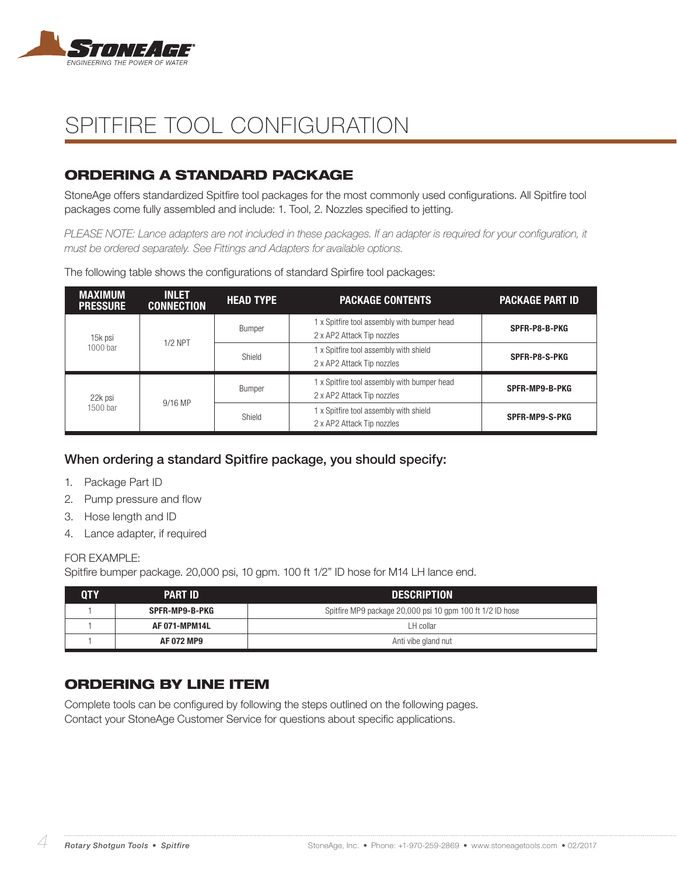

# SPITFIRE TOOL CONFIGURATION

## ORDERING A STANDARD PACKAGE

StoneAge offers standardized Spitfire tool packages for the most commonly used configurations. All Spitfire tool packages come fully assembled and include: 1. Tool, 2. Nozzles specified to jetting.

*PLEASE NOTE: Lance adapters are not included in these packages. If an adapter is required for your configuration, it must be ordered separately. See Fittings and Adapters for available options.*

MAXIMUM PRESSURE INLET<br>Connection CONNECTION HEAD TYPE PACKAGE CONTENTS PACKAGE PART ID 15k psi  $1000$  bar  $1/2$  NPT Bumper 1 x Spitfire tool assembly with bumper head 2 x AP2 Attack Tip nozzles SPFR-P8-B-PKG Shield 1 x Spitfire tool assembly with shield 2 x AP2 Attack Tip nozzles SPFR-P8-S-PKG 22k psi  $1500$  bar  $9/16$  MP Bumper 1 x Spitfire tool assembly with bumper head 2 x AP2 Attack Tip nozzles SPFR-MP9-B-PKG Shield 1 x Spitfire tool assembly with shield 2 x AP2 Attack Tip nozzles SPFR-MP9-S-PKG

The following table shows the configurations of standard Spirfire tool packages:

### When ordering a standard Spitfire package, you should specify:

- 1. Package Part ID
- 2. Pump pressure and flow
- 3. Hose length and ID
- 4. Lance adapter, if required

#### FOR **FXAMPLE:**

Spitfire bumper package. 20,000 psi, 10 gpm. 100 ft 1/2" ID hose for M14 LH lance end.

| OTY | <b>PART ID</b>       | <b>DESCRIPTION</b>                                        |
|-----|----------------------|-----------------------------------------------------------|
|     | SPFR-MP9-B-PKG       | Spitfire MP9 package 20,000 psi 10 gpm 100 ft 1/2 ID hose |
|     | <b>AF 071-MPM14L</b> | LH collar                                                 |
|     | AF 072 MP9           | Anti vibe gland nut                                       |

## ORDERING BY LINE ITEM

Complete tools can be configured by following the steps outlined on the following pages. Contact your StoneAge Customer Service for questions about specific applications.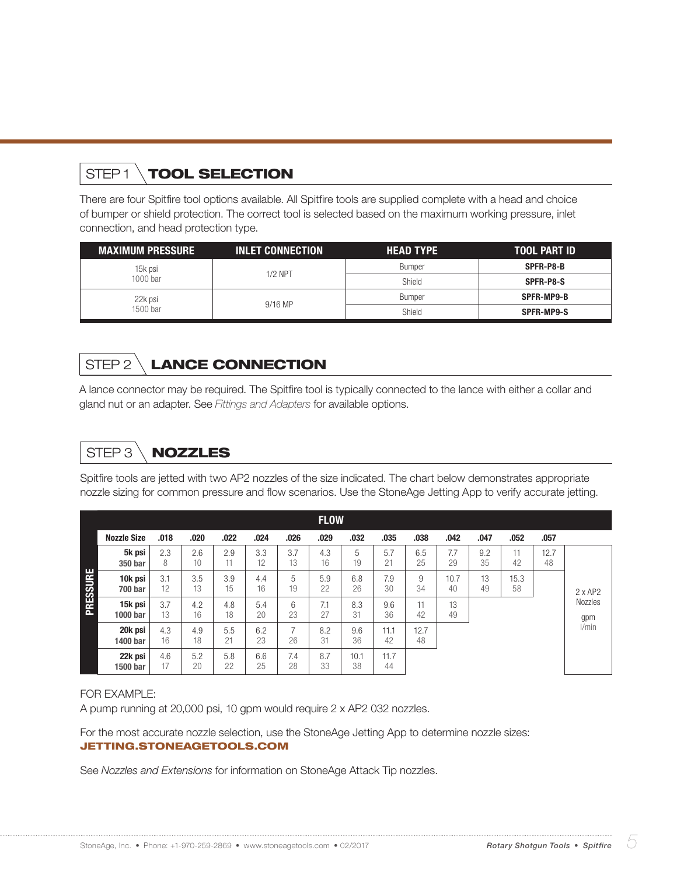# STEP1 \TOOL SELECTION

There are four Spitfire tool options available. All Spitfire tools are supplied complete with a head and choice of bumper or shield protection. The correct tool is selected based on the maximum working pressure, inlet connection, and head protection type.

| <b>MAXIMUM PRESSURE</b> | <b>INLET CONNECTION</b> | <b>HEAD TYPE</b> | <b>TOOL PART ID</b> |
|-------------------------|-------------------------|------------------|---------------------|
| 15k psi                 | $1/2$ NPT               | <b>Bumper</b>    | SPFR-P8-B           |
| $1000$ bar              |                         | Shield           | SPFR-P8-S           |
| 22k psi                 | $9/16$ MP               | <b>Bumper</b>    | SPFR-MP9-B          |
| 1500 bar                |                         | Shield           | <b>SPFR-MP9-S</b>   |

## STEP 2 LANCE CONNECTION

A lance connector may be required. The Spitfire tool is typically connected to the lance with either a collar and gland nut or an adapter. See *Fittings and Adapters* for available options.

# STEP 3 \ **NOZZLES**

Spitfire tools are jetted with two AP2 nozzles of the size indicated. The chart below demonstrates appropriate nozzle sizing for common pressure and flow scenarios. Use the StoneAge Jetting App to verify accurate jetting.

|          |                           |           |           |           |           |           | <b>FLOW</b> |            |            |            |            |           |            |            |                |
|----------|---------------------------|-----------|-----------|-----------|-----------|-----------|-------------|------------|------------|------------|------------|-----------|------------|------------|----------------|
|          | <b>Nozzle Size</b>        | .018      | .020      | .022      | .024      | .026      | .029        | .032       | .035       | .038       | .042       | .047      | .052       | .057       |                |
|          | 5k psi<br>350 bar         | 2.3<br>8  | 2.6<br>10 | 2.9<br>11 | 3.3<br>12 | 3.7<br>13 | 4.3<br>16   | 5<br>19    | 5.7<br>21  | 6.5<br>25  | 7.7<br>29  | 9.2<br>35 | 11<br>42   | 12.7<br>48 |                |
| PRESSURE | 10k psi<br><b>700 bar</b> | 3.1<br>12 | 3.5<br>13 | 3.9<br>15 | 4.4<br>16 | 5<br>19   | 5.9<br>22   | 6.8<br>26  | 7.9<br>30  | 9<br>34    | 10.7<br>40 | 13<br>49  | 15.3<br>58 |            | 2xAP2          |
|          | 15k psi<br>1000 bar       | 3.7<br>13 | 4.2<br>16 | 4.8<br>18 | 5.4<br>20 | 6<br>23   | 7.1<br>27   | 8.3<br>31  | 9.6<br>36  | 11<br>42   | 13<br>49   |           |            |            | Nozzles<br>gpm |
|          | 20k psi<br>1400 bar       | 4.3<br>16 | 4.9<br>18 | 5.5<br>21 | 6.2<br>23 | 26        | 8.2<br>31   | 9.6<br>36  | 11.1<br>42 | 12.7<br>48 |            |           |            |            | l/min          |
|          | 22k psi<br>1500 bar       | 4.6<br>17 | 5.2<br>20 | 5.8<br>22 | 6.6<br>25 | 7.4<br>28 | 8.7<br>33   | 10.1<br>38 | 11.7<br>44 |            |            |           |            |            |                |

#### FOR EXAMPLE:

A pump running at 20,000 psi, 10 gpm would require 2 x AP2 032 nozzles.

For the most accurate nozzle selection, use the StoneAge Jetting App to determine nozzle sizes: JETTING.STONEAGETOOLS.COM

See *Nozzles and Extensions* for information on StoneAge Attack Tip nozzles.